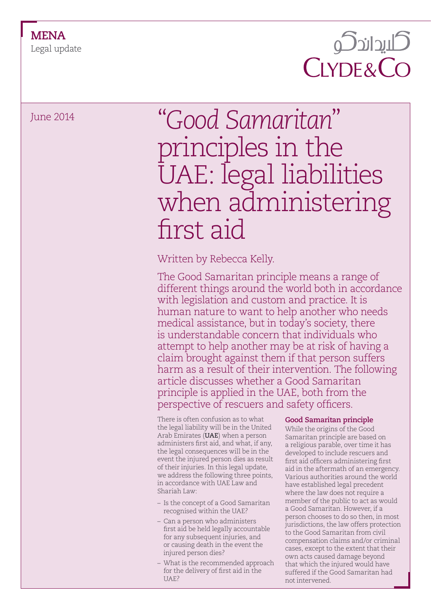Legal update

## كليداندكو **CLYDE&CO**

# June 2014 "*Good Samaritan*" principles in the UAE: legal liabilities when administering first aid

### Written by Rebecca Kelly.

The Good Samaritan principle means a range of different things around the world both in accordance with legislation and custom and practice. It is human nature to want to help another who needs medical assistance, but in today's society, there is understandable concern that individuals who attempt to help another may be at risk of having a claim brought against them if that person suffers harm as a result of their intervention. The following article discusses whether a Good Samaritan principle is applied in the UAE, both from the perspective of rescuers and safety officers.

There is often confusion as to what the legal liability will be in the United Arab Emirates (**UAE**) when a person administers first aid, and what, if any, the legal consequences will be in the event the injured person dies as result of their injuries. In this legal update, we address the following three points, in accordance with UAE Law and Shariah Law:

- Is the concept of a Good Samaritan recognised within the UAE?
- Can a person who administers first aid be held legally accountable for any subsequent injuries, and or causing death in the event the injured person dies?
- What is the recommended approach for the delivery of first aid in the UAE?

### **Good Samaritan principle**

While the origins of the Good Samaritan principle are based on a religious parable, over time it has developed to include rescuers and first aid officers administering first aid in the aftermath of an emergency. Various authorities around the world have established legal precedent where the law does not require a member of the public to act as would a Good Samaritan. However, if a person chooses to do so then, in most jurisdictions, the law offers protection to the Good Samaritan from civil compensation claims and/or criminal cases, except to the extent that their own acts caused damage beyond that which the injured would have suffered if the Good Samaritan had not intervened.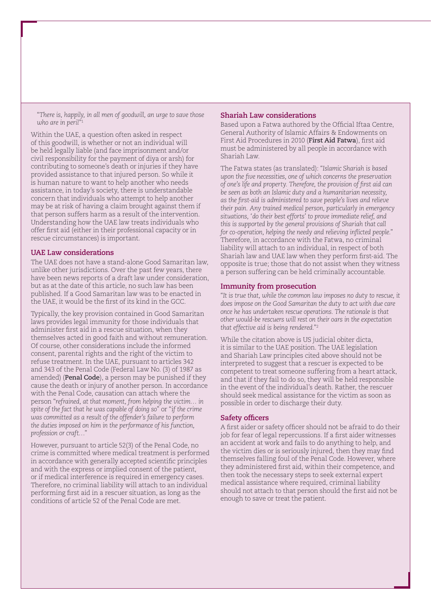"*There is, happily, in all men of goodwill, an urge to save those who are in peril*"1

Within the UAE, a question often asked in respect of this goodwill, is whether or not an individual will be held legally liable (and face imprisonment and/or civil responsibility for the payment of diya or arsh) for contributing to someone's death or injuries if they have provided assistance to that injured person. So while it is human nature to want to help another who needs assistance, in today's society, there is understandable concern that individuals who attempt to help another may be at risk of having a claim brought against them if that person suffers harm as a result of the intervention. Understanding how the UAE law treats individuals who offer first aid (either in their professional capacity or in rescue circumstances) is important.

#### **UAE Law considerations**

The UAE does not have a stand-alone Good Samaritan law, unlike other jurisdictions. Over the past few years, there have been news reports of a draft law under consideration, but as at the date of this article, no such law has been published. If a Good Samaritan law was to be enacted in the UAE, it would be the first of its kind in the GCC.

Typically, the key provision contained in Good Samaritan laws provides legal immunity for those individuals that administer first aid in a rescue situation, when they themselves acted in good faith and without remuneration. Of course, other considerations include the informed consent, parental rights and the right of the victim to refuse treatment. In the UAE, pursuant to articles 342 and 343 of the Penal Code (Federal Law No. (3) of 1987 as amended) (**Penal Code**), a person may be punished if they cause the death or injury of another person. In accordance with the Penal Code, causation can attach where the person "*refrained, at that moment, from helping the victim… in spite of the fact that he was capable of doing so*" or "i*f the crime was committed as a result of the offender's failure to perform the duties imposed on him in the performance of his function, profession or craft…*"

However, pursuant to article 52(3) of the Penal Code, no crime is committed where medical treatment is performed in accordance with generally accepted scientific principles and with the express or implied consent of the patient, or if medical interference is required in emergency cases. Therefore, no criminal liability will attach to an individual performing first aid in a rescuer situation, as long as the conditions of article 52 of the Penal Code are met.

#### **Shariah Law considerations**

Based upon a Fatwa authored by the Official Iftaa Centre, General Authority of Islamic Affairs & Endowments on First Aid Procedures in 2010 (**First Aid Fatwa**), first aid must be administered by all people in accordance with Shariah Law.

The Fatwa states (as translated): "*Islamic Shariah is based upon the five necessities, one of which concerns the preservation of one's life and property. Therefore, the provision of first aid can be seen as both an Islamic duty and a humanitarian necessity, as the first-aid is administered to save people's lives and relieve their pain. Any trained medical person, particularly in emergency situations, 'do their best efforts' to prove immediate relief, and this is supported by the general provisions of Shariah that call for co-operation, helping the needy and relieving inflicted people.*" Therefore, in accordance with the Fatwa, no criminal liability will attach to an individual, in respect of both Shariah law and UAE law when they perform first-aid. The opposite is true; those that do not assist when they witness a person suffering can be held criminally accountable.

#### **Immunity from prosecution**

"*It is true that, while the common law imposes no duty to rescue, it does impose on the Good Samaritan the duty to act with due care once he has undertaken rescue operations. The rationale is that other would-be rescuers will rest on their oars in the expectation that effective aid is being rendered.*"2

While the citation above is US judicial obiter dicta, it is similar to the UAE position. The UAE legislation and Shariah Law principles cited above should not be interpreted to suggest that a rescuer is expected to be competent to treat someone suffering from a heart attack, and that if they fail to do so, they will be held responsible in the event of the individual's death. Rather, the rescuer should seek medical assistance for the victim as soon as possible in order to discharge their duty.

#### **Safety officers**

A first aider or safety officer should not be afraid to do their job for fear of legal repercussions. If a first aider witnesses an accident at work and fails to do anything to help, and the victim dies or is seriously injured, then they may find themselves falling foul of the Penal Code. However, where they administered first aid, within their competence, and then took the necessary steps to seek external expert medical assistance where required, criminal liability should not attach to that person should the first aid not be enough to save or treat the patient.